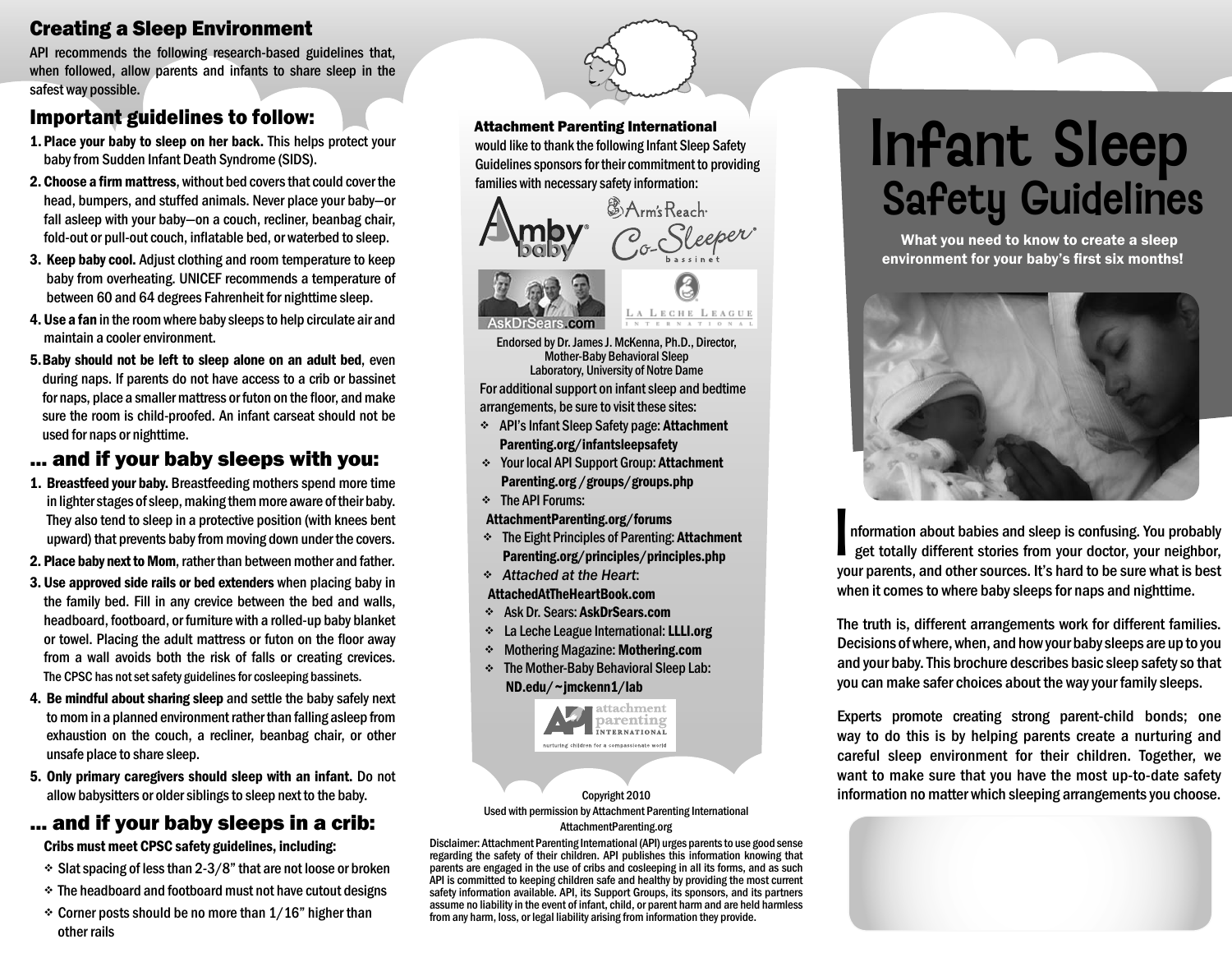# Creating a Sleep Environment

API recommends the following research-based guidelines that, when followed, allow parents and infants to share sleep in the safest way possible.

## Important guidelines to follow:

- 1. Place your baby to sleep on her back. This helps protect your baby from Sudden Infant Death Syndrome (SIDS).
- **2. Choose a firm mattress,** without bed covers that could cover the head, bumpers, and stuffed animals. Never place your baby—or fall asleep with your baby—on a couch, recliner, beanbag chair, fold-out or pull-out couch, inflatable bed, or waterbed to sleep.
- 3. Keep baby cool. Adjust clothing and room temperature to keep baby from overheating. UNICEF recommends a temperature of between 60 and 64 degrees Fahrenheit for nighttime sleep.
- 4. Use a fan in the room where baby sleeps to help circulate air and maintain a cooler environment.
- 5. Baby should not be left to sleep alone on an adult bed, even during naps. If parents do not have access to a crib or bassinet for naps, place a smaller mattress or futon on the floor, and make sure the room is child-proofed. An infant carseat should not be used for naps or nighttime.

## ... and if your baby sleeps with you:

- 1. Breastfeed your baby. Breastfeeding mothers spend more time in lighter stages of sleep, making them more aware of their baby. They also tend to sleep in a protective position (with knees bent upward) that prevents baby from moving down under the covers.
- 2. Place baby next to Mom, rather than between mother and father.
- 3. Use approved side rails or bed extenders when placing baby in the family bed. Fill in any crevice between the bed and walls, headboard, footboard, or furniture with a rolled-up baby blanket or towel. Placing the adult mattress or futon on the floor away from a wall avoids both the risk of falls or creating crevices. The CPSC has not set safety guidelines for cosleeping bassinets.
- 4. Be mindful about sharing sleep and settle the baby safely next to mom in a planned environment rather than falling asleep from exhaustion on the couch, a recliner, beanbag chair, or other unsafe place to share sleep.
- 5. Only primary caregivers should sleep with an infant. Do not allow babysitters or older siblings to sleep next to the baby.

# ... and if your baby sleeps in a crib:

Cribs must meet CPSC safety guidelines, including:

- $\div$  Slat spacing of less than 2-3/8" that are not loose or broken
- The headboard and footboard must not have cutout designs
- $\div$  Corner posts should be no more than 1/16" higher than other rails

Attachment Parenting International would like to thank the following Infant Sleep Safety Guidelines sponsors for their commitment to providing families with necessary safety information:





Endorsed by Dr. James J. McKenna, Ph.D., Director, Mother-Baby Behavioral Sleep Laboratory, University of Notre Dame

For additional support on infant sleep and bedtime arrangements, be sure to visit these sites:

- API's Infant Sleep Safety page: Attachment Parenting.org/infantsleepsafety
- Your local API Support Group: Attachment Parenting.org /groups/groups.php
- $\div$  The API Forums:
- AttachmentParenting.org/forums
- The Eight Principles of Parenting: Attachment Parenting.org/principles/principles.php
- *Attached at the Heart*:
- AttachedAtTheHeartBook.com
- Ask Dr. Sears: AskDrSears.com
- La Leche League International: LLLI.org
- Mothering Magazine: Mothering.com
- The Mother-Baby Behavioral Sleep Lab: ND.edu/ ~jmckenn1/lab



Copyright 2010 Used with permission by Attachment Parenting International AttachmentParenting.org

Disclaimer: Attachment Parenting International (API) urges parents to use good sense regarding the safety of their children. API publishes this information knowing that parents are engaged in the use of cribs and cosleeping in all its forms, and as such API is committed to keeping children safe and healthy by providing the most current safety information available. API, its Support Groups, its sponsors, and its partners assume no liability in the event of infant, child, or parent harm and are held harmless from any harm, loss, or legal liability arising from information they provide.

# Infant Sleep Safety Guidelines

 What you need to know to create a sleep environment for your baby's first six months!



nformation about babies and sleep is confusing. You probably get totally different stories from your doctor, your neighbor, your parents, and other sources. It's hard to be sure what is best when it comes to where baby sleeps for naps and nighttime. I

The truth is, different arrangements work for different families. Decisions of where, when, and how your baby sleeps are up to you and your baby. This brochure describes basic sleep safety so that you can make safer choices about the way your family sleeps.

Experts promote creating strong parent-child bonds; one way to do this is by helping parents create a nurturing and careful sleep environment for their children. Together, we want to make sure that you have the most up-to-date safety information no matter which sleeping arrangements you choose.